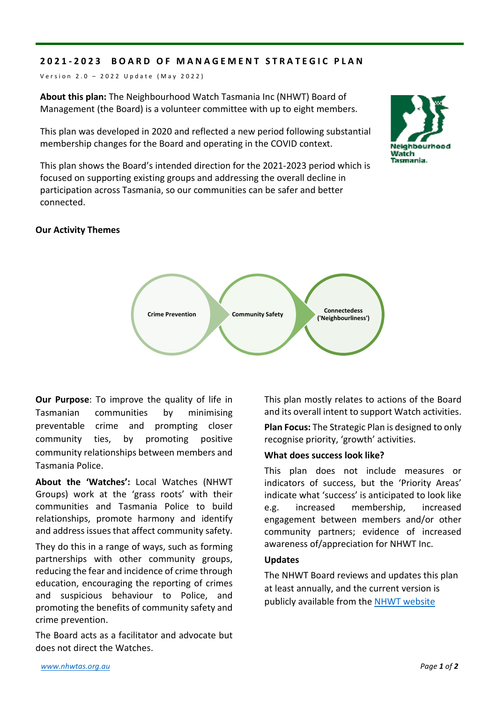## **2021 - 2023 BOARD OF MANAGEMENT STRATEGIC PLAN**

Version 2.0 - 2022 Update (May 2022)

**About this plan:** The Neighbourhood Watch Tasmania Inc (NHWT) Board of Management (the Board) is a volunteer committee with up to eight members.

This plan was developed in 2020 and reflected a new period following substantial membership changes for the Board and operating in the COVID context.

This plan shows the Board's intended direction for the 2021-2023 period which is focused on supporting existing groups and addressing the overall decline in participation across Tasmania, so our communities can be safer and better connected.

### **Our Activity Themes**



**Our Purpose**: To improve the quality of life in Tasmanian communities by minimising preventable crime and prompting closer community ties, by promoting positive community relationships between members and Tasmania Police.

**About the 'Watches':** Local Watches (NHWT Groups) work at the 'grass roots' with their communities and Tasmania Police to build relationships, promote harmony and identify and address issues that affect community safety.

They do this in a range of ways, such as forming partnerships with other community groups, reducing the fear and incidence of crime through education, encouraging the reporting of crimes and suspicious behaviour to Police, and promoting the benefits of community safety and crime prevention.

The Board acts as a facilitator and advocate but does not direct the Watches.

This plan mostly relates to actions of the Board and its overall intent to support Watch activities.

**Plan Focus:** The Strategic Plan is designed to only recognise priority, 'growth' activities.

#### **What does success look like?**

This plan does not include measures or indicators of success, but the 'Priority Areas' indicate what 'success' is anticipated to look like e.g. increased membership, increased engagement between members and/or other community partners; evidence of increased awareness of/appreciation for NHWT Inc.

#### **Updates**

The NHWT Board reviews and updates this plan at least annually, and the current version is publicly available from the [NHWT website](https://nhwtas.org.au/)